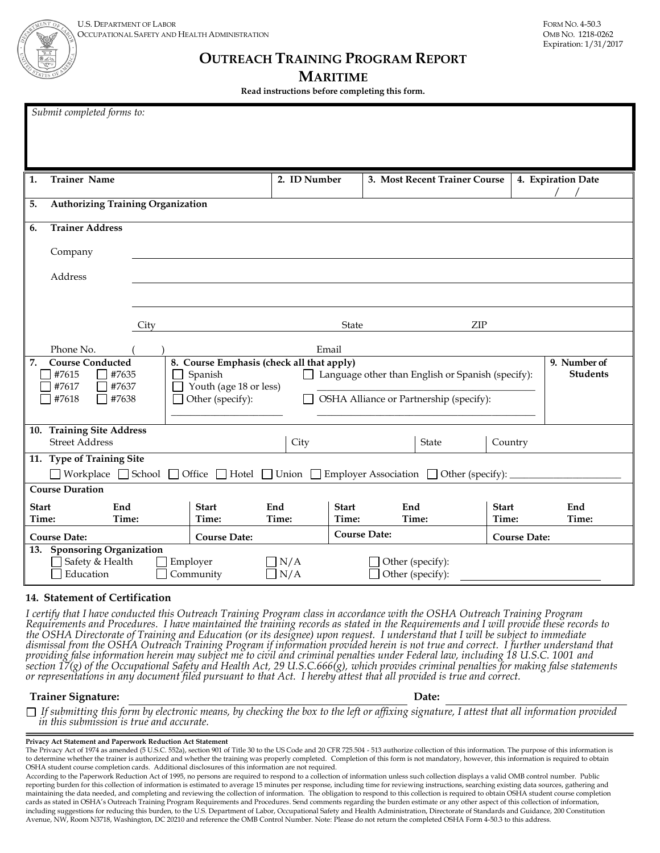

## **OUTREACH TRAINING PROGRAM REPORT**

#### **MARITIME**

**Read instructions before completing this form.**

*Submit completed forms to:* **1. Trainer Name 2. ID Number 3. Most Recent Trainer Course 4. Expiration Date** / / **5. Authorizing Training Organization 6. Trainer Address**  Company Address City **State** State **ZIP** Phone No. ( ) and Email **7. Course Conducted 8. Course Emphasis (check all that apply) 9. Number of**  #7615 #7635 Spanish Language other than English or Spanish (specify): **Students** #7617  $\Box$  #7637  $\Box$  Youth (age 18 or less)  $\Box$  #7618  $\Box$  #7638  $\Box$  Other (specify):  $\Box$  OSHA Alliance or Partnership (specify): \_\_\_\_\_\_\_\_\_\_\_\_\_\_\_\_\_\_\_\_\_\_\_ \_\_\_\_\_\_\_\_\_\_\_\_\_\_\_\_\_\_\_\_\_\_\_\_\_\_\_\_\_\_\_\_\_\_\_\_\_\_\_\_\_\_\_\_\_ **10. Training Site Address**  Street Address City City State Country **11. Type of Training Site** Workplace School Office Hotel Union Employer Association Other (specify): **Course Duration Start Time: End Time: Start Time: End Time: Start Time: End Time: Start Time: End Time: Course Date: Course Date: Course Date: Course Date:**  13. Sponsoring Organization  $\Box$  Safety & Health  $\Box$  Employer  $\Box$  N/A  $\Box$  Other (specify): Education  $\Box$  Community  $\Box N/A$   $\Box$  Other (specify):

#### **14. Statement of Certification**

*I certify that I have conducted this Outreach Training Program class in accordance with the OSHA Outreach Training Program Requirements and Procedures. I have maintained the training records as stated in the Requirements and I will provide these records to the OSHA Directorate of Training and Education (or its designee) upon request. I understand that I will be subject to immediate dismissal from the OSHA Outreach Training Program if information provided herein is not true and correct. I further understand that providing false information herein may subject me to civil and criminal penalties under Federal law, including 18 U.S.C. 1001 and section 17(g) of the Occupational Safety and Health Act, 29 U.S.C.666(g), which provides criminal penalties for making false statements or representations in any document filed pursuant to that Act. I hereby attest that all provided is true and correct.* 

#### **Trainer Signature: Date:**

 *If submitting this form by electronic means, by checking the box to the left or affixing signature, I attest that all information provided in this submission is true and accurate.*

#### **Privacy Act Statement and Paperwork Reduction Act Statement**

The Privacy Act of 1974 as amended (5 U.S.C. 552a), section 901 of Title 30 to the US Code and 20 CFR 725.504 - 513 authorize collection of this information. The purpose of this information is to determine whether the trainer is authorized and whether the training was properly completed. Completion of this form is not mandatory, however, this information is required to obtain OSHA student course completion cards. Additional disclosures of this information are not required.

According to the Paperwork Reduction Act of 1995, no persons are required to respond to a collection of information unless such collection displays a valid OMB control number. Public reporting burden for this collection of information is estimated to average 15 minutes per response, including time for reviewing instructions, searching existing data sources, gathering and maintaining the data needed, and completing and reviewing the collection of information. The obligation to respond to this collection is required to obtain OSHA student course completion cards as stated in OSHA's Outreach Training Program Requirements and Procedures. Send comments regarding the burden estimate or any other aspect of this collection of information, including suggestions for reducing this burden, to the U.S. Department of Labor, Occupational Safety and Health Administration, Directorate of Standards and Guidance, 200 Constitution Avenue, NW, Room N3718, Washington, DC 20210 and reference the OMB Control Number. Note: Please do not return the completed OSHA Form 4-50.3 to this address.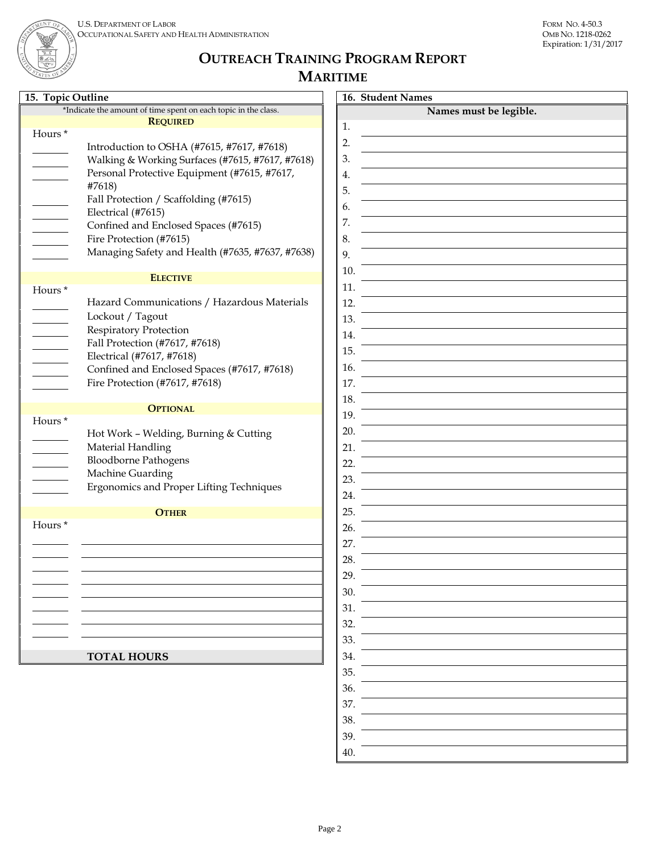

# **OUTREACH TRAINING PROGRAM REPORT**

#### **MARITIME**  $\mathbf{r}$

| 15. Topic Outline                                                                                                                                                  | 16. Student Names      |
|--------------------------------------------------------------------------------------------------------------------------------------------------------------------|------------------------|
| *Indicate the amount of time spent on each topic in the class.                                                                                                     | Names must be legible. |
| <b>REQUIRED</b>                                                                                                                                                    | 1.                     |
| Hours*<br>Introduction to OSHA (#7615, #7617, #7618)<br>Walking & Working Surfaces (#7615, #7617, #7618)<br>Personal Protective Equipment (#7615, #7617,<br>#7618) | 2.<br>3.<br>4.<br>5.   |
| Fall Protection / Scaffolding (#7615)<br>Electrical (#7615)                                                                                                        | 6.                     |
| Confined and Enclosed Spaces (#7615)<br>Fire Protection (#7615)                                                                                                    | 7.<br>8.               |
| Managing Safety and Health (#7635, #7637, #7638)                                                                                                                   | 9.                     |
| <b>ELECTIVE</b>                                                                                                                                                    | 10.                    |
| Hours*                                                                                                                                                             | 11.                    |
| Hazard Communications / Hazardous Materials<br>Lockout / Tagout                                                                                                    | 12.<br>13.             |
| <b>Respiratory Protection</b>                                                                                                                                      | 14.                    |
| Fall Protection (#7617, #7618)<br>Electrical (#7617, #7618)                                                                                                        | 15.                    |
| Confined and Enclosed Spaces (#7617, #7618)<br>Fire Protection (#7617, #7618)                                                                                      | 16.                    |
|                                                                                                                                                                    | 17.                    |
| <b>OPTIONAL</b>                                                                                                                                                    | 18.                    |
| Hours*                                                                                                                                                             | 19.                    |
| Hot Work - Welding, Burning & Cutting<br>Material Handling                                                                                                         | 20.<br>21.             |
| <b>Bloodborne Pathogens</b>                                                                                                                                        | 22.                    |
| Machine Guarding                                                                                                                                                   | 23.                    |
| Ergonomics and Proper Lifting Techniques                                                                                                                           | 24.                    |
| <b>OTHER</b>                                                                                                                                                       | 25.                    |
| Hours*                                                                                                                                                             | 26.                    |
|                                                                                                                                                                    | 27.                    |
|                                                                                                                                                                    | 28.                    |
|                                                                                                                                                                    | 29.                    |
|                                                                                                                                                                    | 30.<br>31.             |
|                                                                                                                                                                    | 32.                    |
|                                                                                                                                                                    | 33.                    |
| <b>TOTAL HOURS</b>                                                                                                                                                 | 34.                    |
|                                                                                                                                                                    | 35.                    |
|                                                                                                                                                                    | 36.                    |

37. 38. 39. 40.